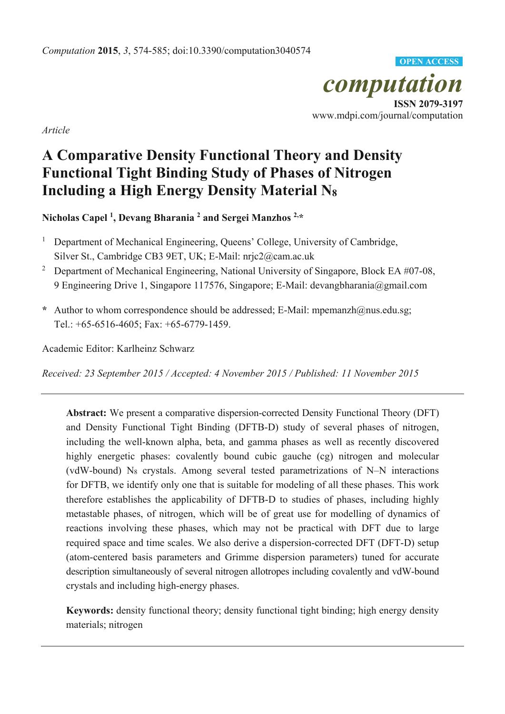*computation*  **ISSN 2079-3197**  www.mdpi.com/journal/computation **OPEN ACCESS**

*Article* 

# **A Comparative Density Functional Theory and Density Functional Tight Binding Study of Phases of Nitrogen Including a High Energy Density Material N8**

**Nicholas Capel 1 , Devang Bharania 2 and Sergei Manzhos 2,\*** 

- <sup>1</sup> Department of Mechanical Engineering, Queens' College, University of Cambridge, Silver St., Cambridge CB3 9ET, UK; E-Mail: nrjc2@cam.ac.uk
- <sup>2</sup> Department of Mechanical Engineering, National University of Singapore, Block EA #07-08, 9 Engineering Drive 1, Singapore 117576, Singapore; E-Mail: devangbharania@gmail.com
- **\*** Author to whom correspondence should be addressed; E-Mail: mpemanzh@nus.edu.sg; Tel.: +65-6516-4605; Fax: +65-6779-1459.

Academic Editor: Karlheinz Schwarz

*Received: 23 September 2015 / Accepted: 4 November 2015 / Published: 11 November 2015* 

**Abstract:** We present a comparative dispersion-corrected Density Functional Theory (DFT) and Density Functional Tight Binding (DFTB-D) study of several phases of nitrogen, including the well-known alpha, beta, and gamma phases as well as recently discovered highly energetic phases: covalently bound cubic gauche (cg) nitrogen and molecular (vdW-bound) N8 crystals. Among several tested parametrizations of N–N interactions for DFTB, we identify only one that is suitable for modeling of all these phases. This work therefore establishes the applicability of DFTB-D to studies of phases, including highly metastable phases, of nitrogen, which will be of great use for modelling of dynamics of reactions involving these phases, which may not be practical with DFT due to large required space and time scales. We also derive a dispersion-corrected DFT (DFT-D) setup (atom-centered basis parameters and Grimme dispersion parameters) tuned for accurate description simultaneously of several nitrogen allotropes including covalently and vdW-bound crystals and including high-energy phases.

**Keywords:** density functional theory; density functional tight binding; high energy density materials; nitrogen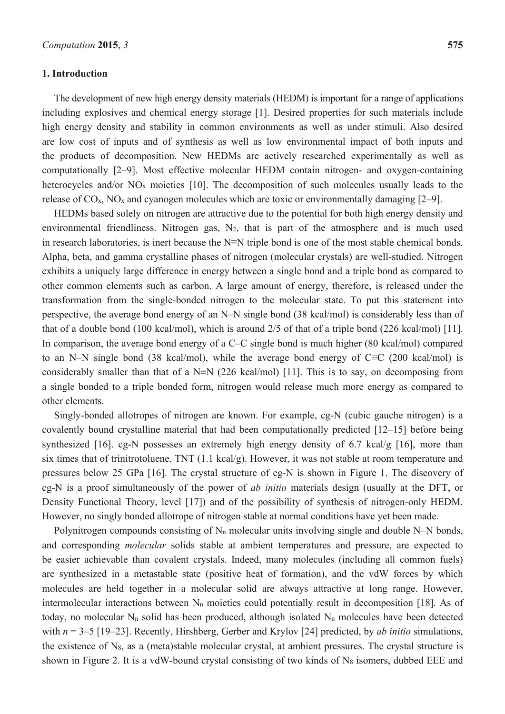#### **1. Introduction**

The development of new high energy density materials (HEDM) is important for a range of applications including explosives and chemical energy storage [1]. Desired properties for such materials include high energy density and stability in common environments as well as under stimuli. Also desired are low cost of inputs and of synthesis as well as low environmental impact of both inputs and the products of decomposition. New HEDMs are actively researched experimentally as well as computationally [2–9]. Most effective molecular HEDM contain nitrogen- and oxygen-containing heterocycles and/or NO<sub>x</sub> moieties [10]. The decomposition of such molecules usually leads to the release of  $CO_x$ , NO<sub>x</sub> and cyanogen molecules which are toxic or environmentally damaging [2–9].

HEDMs based solely on nitrogen are attractive due to the potential for both high energy density and environmental friendliness. Nitrogen gas,  $N_2$ , that is part of the atmosphere and is much used in research laboratories, is inert because the N≡N triple bond is one of the most stable chemical bonds. Alpha, beta, and gamma crystalline phases of nitrogen (molecular crystals) are well-studied. Nitrogen exhibits a uniquely large difference in energy between a single bond and a triple bond as compared to other common elements such as carbon. A large amount of energy, therefore, is released under the transformation from the single-bonded nitrogen to the molecular state. To put this statement into perspective, the average bond energy of an N–N single bond (38 kcal/mol) is considerably less than of that of a double bond (100 kcal/mol), which is around 2/5 of that of a triple bond (226 kcal/mol) [11]. In comparison, the average bond energy of a C–C single bond is much higher (80 kcal/mol) compared to an N–N single bond (38 kcal/mol), while the average bond energy of C≡C (200 kcal/mol) is considerably smaller than that of a N≡N (226 kcal/mol) [11]. This is to say, on decomposing from a single bonded to a triple bonded form, nitrogen would release much more energy as compared to other elements.

Singly-bonded allotropes of nitrogen are known. For example, cg-N (cubic gauche nitrogen) is a covalently bound crystalline material that had been computationally predicted [12–15] before being synthesized [16]. cg-N possesses an extremely high energy density of 6.7 kcal/g [16], more than six times that of trinitrotoluene, TNT (1.1 kcal/g). However, it was not stable at room temperature and pressures below 25 GPa [16]. The crystal structure of cg-N is shown in Figure 1. The discovery of cg-N is a proof simultaneously of the power of *ab initio* materials design (usually at the DFT, or Density Functional Theory, level [17]) and of the possibility of synthesis of nitrogen-only HEDM. However, no singly bonded allotrope of nitrogen stable at normal conditions have yet been made.

Polynitrogen compounds consisting of  $N_n$  molecular units involving single and double N–N bonds, and corresponding *molecular* solids stable at ambient temperatures and pressure, are expected to be easier achievable than covalent crystals. Indeed, many molecules (including all common fuels) are synthesized in a metastable state (positive heat of formation), and the vdW forces by which molecules are held together in a molecular solid are always attractive at long range. However, intermolecular interactions between N<sub>n</sub> moieties could potentially result in decomposition [18]. As of today, no molecular  $N_n$  solid has been produced, although isolated  $N_n$  molecules have been detected with  $n = 3-5$  [19–23]. Recently, Hirshberg, Gerber and Krylov [24] predicted, by *ab initio* simulations, the existence of N8, as a (meta)stable molecular crystal, at ambient pressures. The crystal structure is shown in Figure 2. It is a vdW-bound crystal consisting of two kinds of  $N_8$  isomers, dubbed EEE and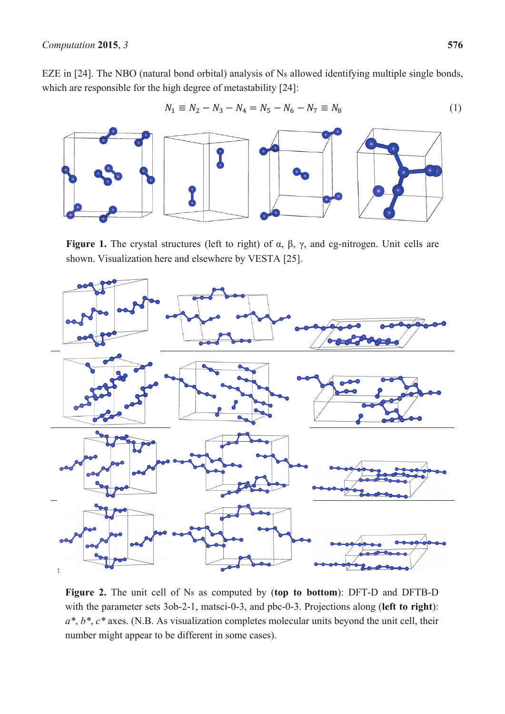EZE in [24]. The NBO (natural bond orbital) analysis of N<sub>8</sub> allowed identifying multiple single bonds, which are responsible for the high degree of metastability [24]:

$$
N_1 \equiv N_2 - N_3 - N_4 = N_5 - N_6 - N_7 \equiv N_8 \tag{1}
$$



**Figure 1.** The crystal structures (left to right) of α, β, γ, and cg-nitrogen. Unit cells are shown. Visualization here and elsewhere by VESTA [25].



**Figure 2.** The unit cell of N8 as computed by (**top to bottom**): DFT-D and DFTB-D with the parameter sets 3ob-2-1, matsci-0-3, and pbc-0-3. Projections along (**left to right**): *a\**, *b\**, *c\** axes. (N.B. As visualization completes molecular units beyond the unit cell, their number might appear to be different in some cases).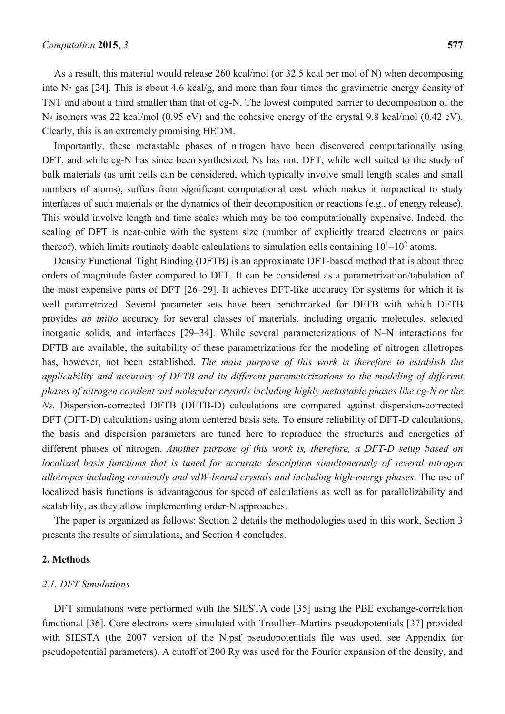As a result, this material would release 260 kcal/mol (or 32.5 kcal per mol of N) when decomposing into N2 gas [24]. This is about 4.6 kcal/g, and more than four times the gravimetric energy density of TNT and about a third smaller than that of cg-N. The lowest computed barrier to decomposition of the N8 isomers was 22 kcal/mol (0.95 eV) and the cohesive energy of the crystal 9.8 kcal/mol (0.42 eV). Clearly, this is an extremely promising HEDM.

Importantly, these metastable phases of nitrogen have been discovered computationally using DFT, and while cg-N has since been synthesized, N<sub>8</sub> has not. DFT, while well suited to the study of bulk materials (as unit cells can be considered, which typically involve small length scales and small numbers of atoms), suffers from significant computational cost, which makes it impractical to study interfaces of such materials or the dynamics of their decomposition or reactions (e.g., of energy release). This would involve length and time scales which may be too computationally expensive. Indeed, the scaling of DFT is near-cubic with the system size (number of explicitly treated electrons or pairs thereof), which limits routinely doable calculations to simulation cells containing  $10<sup>1</sup>–10<sup>2</sup>$  atoms.

Density Functional Tight Binding (DFTB) is an approximate DFT-based method that is about three orders of magnitude faster compared to DFT. It can be considered as a parametrization/tabulation of the most expensive parts of DFT [26–29]. It achieves DFT-like accuracy for systems for which it is well parametrized. Several parameter sets have been benchmarked for DFTB with which DFTB provides *ab initio* accuracy for several classes of materials, including organic molecules, selected inorganic solids, and interfaces [29–34]. While several parameterizations of N–N interactions for DFTB are available, the suitability of these parametrizations for the modeling of nitrogen allotropes has, however, not been established. *The main purpose of this work is therefore to establish the applicability and accuracy of DFTB and its different parameterizations to the modeling of different phases of nitrogen covalent and molecular crystals including highly metastable phases like cg-N or the N8*. Dispersion-corrected DFTB (DFTB-D) calculations are compared against dispersion-corrected DFT (DFT-D) calculations using atom centered basis sets. To ensure reliability of DFT-D calculations, the basis and dispersion parameters are tuned here to reproduce the structures and energetics of different phases of nitrogen. *Another purpose of this work is, therefore, a DFT-D setup based on localized basis functions that is tuned for accurate description simultaneously of several nitrogen allotropes including covalently and vdW-bound crystals and including high-energy phases.* The use of localized basis functions is advantageous for speed of calculations as well as for parallelizability and scalability, as they allow implementing order-N approaches.

The paper is organized as follows: Section 2 details the methodologies used in this work, Section 3 presents the results of simulations, and Section 4 concludes.

## **2. Methods**

#### *2.1. DFT Simulations*

DFT simulations were performed with the SIESTA code [35] using the PBE exchange-correlation functional [36]. Core electrons were simulated with Troullier–Martins pseudopotentials [37] provided with SIESTA (the 2007 version of the N.psf pseudopotentials file was used, see Appendix for pseudopotential parameters). A cutoff of 200 Ry was used for the Fourier expansion of the density, and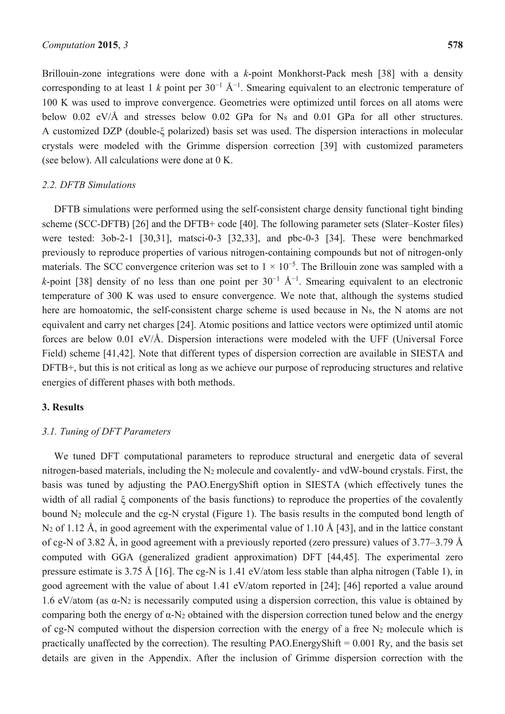Brillouin-zone integrations were done with a *k*-point Monkhorst-Pack mesh [38] with a density corresponding to at least 1  $k$  point per 30<sup>-1</sup> Å<sup>-1</sup>. Smearing equivalent to an electronic temperature of 100 K was used to improve convergence. Geometries were optimized until forces on all atoms were below 0.02 eV/Å and stresses below 0.02 GPa for N<sub>8</sub> and 0.01 GPa for all other structures. A customized DZP (double-ξ polarized) basis set was used. The dispersion interactions in molecular crystals were modeled with the Grimme dispersion correction [39] with customized parameters (see below). All calculations were done at 0 K.

## *2.2. DFTB Simulations*

DFTB simulations were performed using the self-consistent charge density functional tight binding scheme (SCC-DFTB) [26] and the DFTB+ code [40]. The following parameter sets (Slater–Koster files) were tested: 3ob-2-1 [30,31], matsci-0-3 [32,33], and pbc-0-3 [34]. These were benchmarked previously to reproduce properties of various nitrogen-containing compounds but not of nitrogen-only materials. The SCC convergence criterion was set to  $1 \times 10^{-5}$ . The Brillouin zone was sampled with a *k*-point [38] density of no less than one point per  $30^{-1}$   $\text{\AA}^{-1}$ . Smearing equivalent to an electronic temperature of 300 K was used to ensure convergence. We note that, although the systems studied here are homoatomic, the self-consistent charge scheme is used because in  $N_8$ , the N atoms are not equivalent and carry net charges [24]. Atomic positions and lattice vectors were optimized until atomic forces are below 0.01 eV/Å. Dispersion interactions were modeled with the UFF (Universal Force Field) scheme [41,42]. Note that different types of dispersion correction are available in SIESTA and DFTB+, but this is not critical as long as we achieve our purpose of reproducing structures and relative energies of different phases with both methods.

#### **3. Results**

## *3.1. Tuning of DFT Parameters*

We tuned DFT computational parameters to reproduce structural and energetic data of several nitrogen-based materials, including the N2 molecule and covalently- and vdW-bound crystals. First, the basis was tuned by adjusting the PAO.EnergyShift option in SIESTA (which effectively tunes the width of all radial ξ components of the basis functions) to reproduce the properties of the covalently bound N2 molecule and the cg-N crystal (Figure 1). The basis results in the computed bond length of N<sub>2</sub> of 1.12 Å, in good agreement with the experimental value of 1.10 Å [43], and in the lattice constant of cg-N of 3.82 Å, in good agreement with a previously reported (zero pressure) values of 3.77–3.79 Å computed with GGA (generalized gradient approximation) DFT [44,45]. The experimental zero pressure estimate is 3.75 Å [16]. The cg-N is 1.41 eV/atom less stable than alpha nitrogen (Table 1), in good agreement with the value of about 1.41 eV/atom reported in [24]; [46] reported a value around 1.6 eV/atom (as  $\alpha$ -N<sub>2</sub> is necessarily computed using a dispersion correction, this value is obtained by comparing both the energy of  $\alpha$ -N<sub>2</sub> obtained with the dispersion correction tuned below and the energy of cg-N computed without the dispersion correction with the energy of a free  $N_2$  molecule which is practically unaffected by the correction). The resulting PAO. Energy Shift  $= 0.001$  Ry, and the basis set details are given in the Appendix. After the inclusion of Grimme dispersion correction with the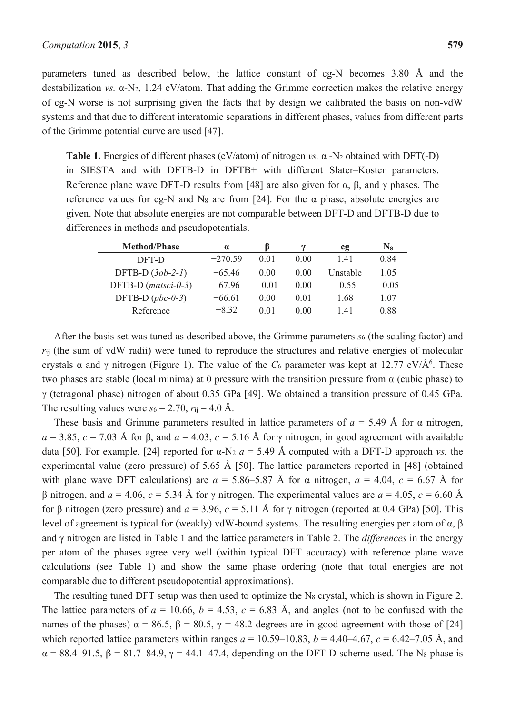parameters tuned as described below, the lattice constant of cg-N becomes 3.80 Å and the destabilization *vs.*  $\alpha$ -N<sub>2</sub>, 1.24 eV/atom. That adding the Grimme correction makes the relative energy of cg-N worse is not surprising given the facts that by design we calibrated the basis on non-vdW systems and that due to different interatomic separations in different phases, values from different parts of the Grimme potential curve are used [47].

**Table 1.** Energies of different phases (eV/atom) of nitrogen *vs.* α -N2 obtained with DFT(-D) in SIESTA and with DFTB-D in DFTB+ with different Slater–Koster parameters. Reference plane wave DFT-D results from [48] are also given for  $\alpha$ ,  $\beta$ , and  $\gamma$  phases. The reference values for cg-N and N<sub>8</sub> are from [24]. For the  $\alpha$  phase, absolute energies are given. Note that absolute energies are not comparable between DFT-D and DFTB-D due to differences in methods and pseudopotentials.

| <b>Method/Phase</b>   | $\alpha$  |         |      | cg       | $N_8$   |
|-----------------------|-----------|---------|------|----------|---------|
| DFT-D                 | $-270.59$ | 0.01    | 0.00 | 141      | 0.84    |
| DFTB-D $(3ob-2-1)$    | $-65.46$  | 0.00    | 0.00 | Unstable | 1 05    |
| DFTB-D $(matsci-0-3)$ | $-6796$   | $-0.01$ | 0.00 | $-0.55$  | $-0.05$ |
| DFTB-D $(pbc-0-3)$    | $-6661$   | 0.00    | 0.01 | 1.68     | 1.07    |
| Reference             | $-8.32$   | 0 01    | 0.00 | 141      | 0.88    |

After the basis set was tuned as described above, the Grimme parameters *s*6 (the scaling factor) and *r*ij (the sum of vdW radii) were tuned to reproduce the structures and relative energies of molecular crystals  $\alpha$  and  $\gamma$  nitrogen (Figure 1). The value of the  $C_6$  parameter was kept at 12.77 eV/Å<sup>6</sup>. These two phases are stable (local minima) at 0 pressure with the transition pressure from  $\alpha$  (cubic phase) to γ (tetragonal phase) nitrogen of about 0.35 GPa [49]. We obtained a transition pressure of 0.45 GPa. The resulting values were  $s_6 = 2.70$ ,  $r_{ij} = 4.0$  Å.

These basis and Grimme parameters resulted in lattice parameters of  $a = 5.49$  Å for  $\alpha$  nitrogen,  $a = 3.85$ ,  $c = 7.03$  Å for β, and  $a = 4.03$ ,  $c = 5.16$  Å for γ nitrogen, in good agreement with available data [50]. For example, [24] reported for  $\alpha$ -N<sub>2</sub>  $a = 5.49$  Å computed with a DFT-D approach *vs.* the experimental value (zero pressure) of 5.65 Å [50]. The lattice parameters reported in [48] (obtained with plane wave DFT calculations) are  $a = 5.86-5.87$  Å for  $\alpha$  nitrogen,  $a = 4.04$ ,  $c = 6.67$  Å for β nitrogen, and *a* = 4.06, *c* = 5.34 Å for γ nitrogen. The experimental values are *a* = 4.05, *c* = 6.60 Å for β nitrogen (zero pressure) and *a* = 3.96, *c* = 5.11 Å for γ nitrogen (reported at 0.4 GPa) [50]. This level of agreement is typical for (weakly) vdW-bound systems. The resulting energies per atom of α, β and γ nitrogen are listed in Table 1 and the lattice parameters in Table 2. The *differences* in the energy per atom of the phases agree very well (within typical DFT accuracy) with reference plane wave calculations (see Table 1) and show the same phase ordering (note that total energies are not comparable due to different pseudopotential approximations).

The resulting tuned DFT setup was then used to optimize the N<sub>8</sub> crystal, which is shown in Figure 2. The lattice parameters of  $a = 10.66$ ,  $b = 4.53$ ,  $c = 6.83$  Å, and angles (not to be confused with the names of the phases)  $\alpha = 86.5$ ,  $\beta = 80.5$ ,  $\gamma = 48.2$  degrees are in good agreement with those of [24] which reported lattice parameters within ranges  $a = 10.59{\text -}10.83$ ,  $b = 4.40{\text -}4.67$ ,  $c = 6.42{\text -}7.05$  Å, and  $\alpha = 88.4 - 91.5$ ,  $\beta = 81.7 - 84.9$ ,  $\gamma = 44.1 - 47.4$ , depending on the DFT-D scheme used. The N<sub>8</sub> phase is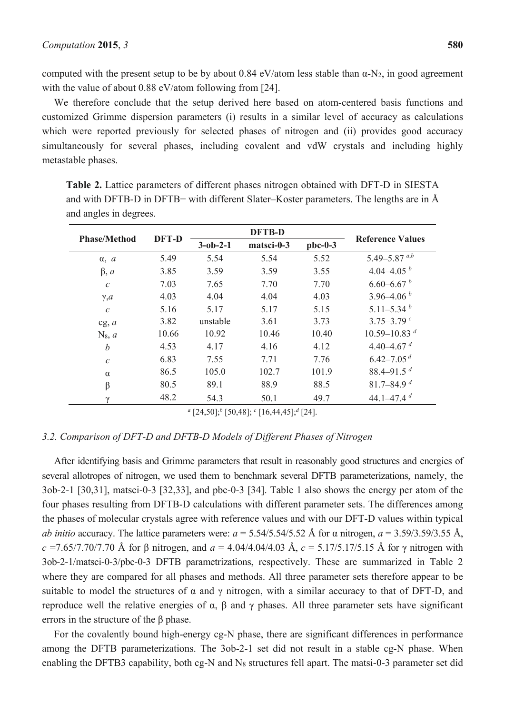computed with the present setup to be by about 0.84 eV/atom less stable than  $\alpha$ -N<sub>2</sub>, in good agreement with the value of about 0.88 eV/atom following from [24].

We therefore conclude that the setup derived here based on atom-centered basis functions and customized Grimme dispersion parameters (i) results in a similar level of accuracy as calculations which were reported previously for selected phases of nitrogen and (ii) provides good accuracy simultaneously for several phases, including covalent and vdW crystals and including highly metastable phases.

| <b>Phase/Method</b> | DFT-D | <b>DFTB-D</b>    |            |           |                              |
|---------------------|-------|------------------|------------|-----------|------------------------------|
|                     |       | $3 - ob - 2 - 1$ | matsci-0-3 | $pbc-0-3$ | <b>Reference Values</b>      |
| $\alpha$ , $a$      | 5.49  | 5.54             | 5.54       | 5.52      | 5.49–5.87 $a,b$              |
| $\beta$ , a         | 3.85  | 3.59             | 3.59       | 3.55      | 4.04–4.05 $^b$               |
| $\boldsymbol{c}$    | 7.03  | 7.65             | 7.70       | 7.70      | $6.60 - 6.67 h$              |
| $\gamma$ , $a$      | 4.03  | 4.04             | 4.04       | 4.03      | $3.96 - 4.06hb$              |
| $\mathcal C$        | 5.16  | 5.17             | 5.17       | 5.15      | $5.11 - 5.34h$               |
| cg, a               | 3.82  | unstable         | 3.61       | 3.73      | $3.75 - 3.79$ c              |
| $N_8, a$            | 10.66 | 10.92            | 10.46      | 10.40     | $10.59 - 10.83$ <sup>d</sup> |
| $\boldsymbol{b}$    | 4.53  | 4.17             | 4.16       | 4.12      | 4.40–4.67 $d$                |
| $\mathcal{C}$       | 6.83  | 7.55             | 7.71       | 7.76      | $6.42 - 7.05$ <sup>d</sup>   |
| $\alpha$            | 86.5  | 105.0            | 102.7      | 101.9     | 88.4–91.5 $d$                |
| $\beta$             | 80.5  | 89.1             | 88.9       | 88.5      | 81.7-84.9 $d$                |
| $\gamma$            | 48.2  | 54.3             | 50.1       | 49.7      | 44.1–47.4 $d$                |
|                     |       |                  |            |           |                              |

**Table 2.** Lattice parameters of different phases nitrogen obtained with DFT-D in SIESTA and with DFTB-D in DFTB+ with different Slater–Koster parameters. The lengths are in Å and angles in degrees.

*a* [24,50];*<sup>b</sup>* [50,48]; *<sup>c</sup>* [16,44,45];*<sup>d</sup>* [24].

#### *3.2. Comparison of DFT-D and DFTB-D Models of Different Phases of Nitrogen*

After identifying basis and Grimme parameters that result in reasonably good structures and energies of several allotropes of nitrogen, we used them to benchmark several DFTB parameterizations, namely, the 3ob-2-1 [30,31], matsci-0-3 [32,33], and pbc-0-3 [34]. Table 1 also shows the energy per atom of the four phases resulting from DFTB-D calculations with different parameter sets. The differences among the phases of molecular crystals agree with reference values and with our DFT-D values within typical *ab initio* accuracy. The lattice parameters were: *a* = 5.54/5.54/5.52 Å for α nitrogen, *a* = 3.59/3.59/3.55 Å, *c* =7.65/7.70/7.70 Å for β nitrogen, and *a* = 4.04/4.04/4.03 Å, *c* = 5.17/5.17/5.15 Å for γ nitrogen with 3ob-2-1/matsci-0-3/pbc-0-3 DFTB parametrizations, respectively. These are summarized in Table 2 where they are compared for all phases and methods. All three parameter sets therefore appear to be suitable to model the structures of  $\alpha$  and  $\gamma$  nitrogen, with a similar accuracy to that of DFT-D, and reproduce well the relative energies of α, β and γ phases. All three parameter sets have significant errors in the structure of the β phase.

For the covalently bound high-energy cg-N phase, there are significant differences in performance among the DFTB parameterizations. The 3ob-2-1 set did not result in a stable cg-N phase. When enabling the DFTB3 capability, both cg-N and N<sub>8</sub> structures fell apart. The matsi-0-3 parameter set did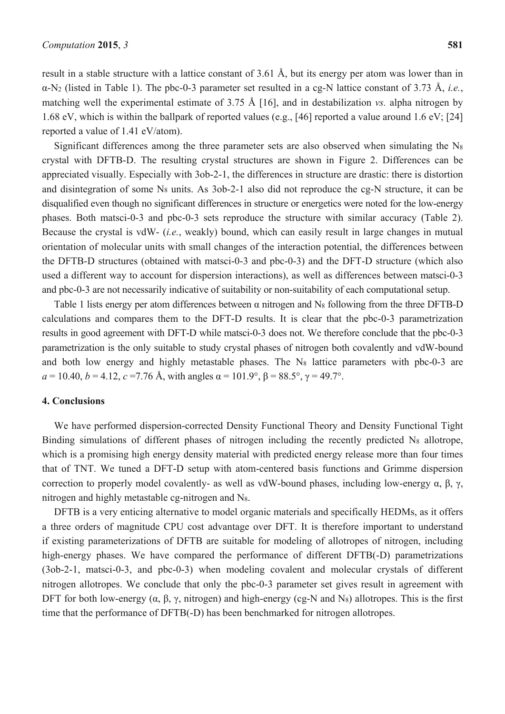result in a stable structure with a lattice constant of 3.61 Å, but its energy per atom was lower than in α-N2 (listed in Table 1). The pbc-0-3 parameter set resulted in a cg-N lattice constant of 3.73 Å, *i.e.*, matching well the experimental estimate of 3.75 Å [16], and in destabilization *vs.* alpha nitrogen by 1.68 eV, which is within the ballpark of reported values (e.g., [46] reported a value around 1.6 eV; [24] reported a value of 1.41 eV/atom).

Significant differences among the three parameter sets are also observed when simulating the  $N_8$ crystal with DFTB-D. The resulting crystal structures are shown in Figure 2. Differences can be appreciated visually. Especially with 3ob-2-1, the differences in structure are drastic: there is distortion and disintegration of some N8 units. As 3ob-2-1 also did not reproduce the cg-N structure, it can be disqualified even though no significant differences in structure or energetics were noted for the low-energy phases. Both matsci-0-3 and pbc-0-3 sets reproduce the structure with similar accuracy (Table 2). Because the crystal is vdW- (*i.e.*, weakly) bound, which can easily result in large changes in mutual orientation of molecular units with small changes of the interaction potential, the differences between the DFTB-D structures (obtained with matsci-0-3 and pbc-0-3) and the DFT-D structure (which also used a different way to account for dispersion interactions), as well as differences between matsci-0-3 and pbc-0-3 are not necessarily indicative of suitability or non-suitability of each computational setup.

Table 1 lists energy per atom differences between α nitrogen and N8 following from the three DFTB-D calculations and compares them to the DFT-D results. It is clear that the pbc-0-3 parametrization results in good agreement with DFT-D while matsci-0-3 does not. We therefore conclude that the pbc-0-3 parametrization is the only suitable to study crystal phases of nitrogen both covalently and vdW-bound and both low energy and highly metastable phases. The N<sub>8</sub> lattice parameters with pbc-0-3 are  $a = 10.40, b = 4.12, c = 7.76$  Å, with angles  $\alpha = 101.9^{\circ}, \beta = 88.5^{\circ}, \gamma = 49.7^{\circ}$ .

## **4. Conclusions**

We have performed dispersion-corrected Density Functional Theory and Density Functional Tight Binding simulations of different phases of nitrogen including the recently predicted  $N_8$  allotrope, which is a promising high energy density material with predicted energy release more than four times that of TNT. We tuned a DFT-D setup with atom-centered basis functions and Grimme dispersion correction to properly model covalently- as well as vdW-bound phases, including low-energy α, β, γ, nitrogen and highly metastable cg-nitrogen and N8.

DFTB is a very enticing alternative to model organic materials and specifically HEDMs, as it offers a three orders of magnitude CPU cost advantage over DFT. It is therefore important to understand if existing parameterizations of DFTB are suitable for modeling of allotropes of nitrogen, including high-energy phases. We have compared the performance of different DFTB(-D) parametrizations (3ob-2-1, matsci-0-3, and pbc-0-3) when modeling covalent and molecular crystals of different nitrogen allotropes. We conclude that only the pbc-0-3 parameter set gives result in agreement with DFT for both low-energy  $(\alpha, \beta, \gamma, n$  nitrogen) and high-energy (cg-N and N<sub>8</sub>) allotropes. This is the first time that the performance of DFTB(-D) has been benchmarked for nitrogen allotropes.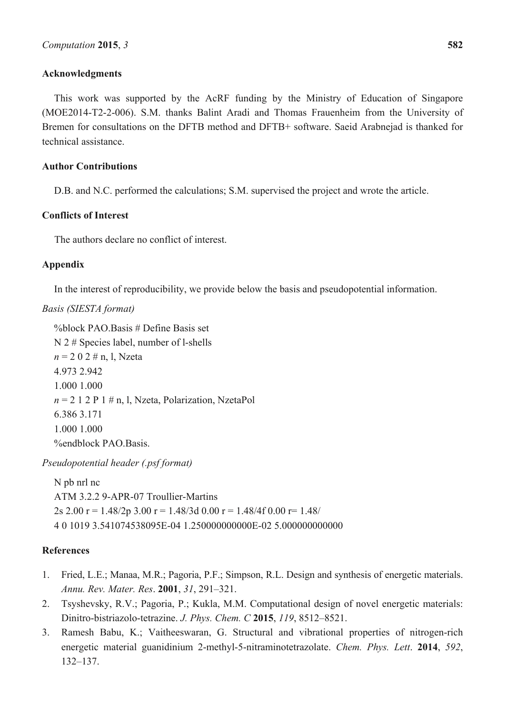## **Acknowledgments**

This work was supported by the AcRF funding by the Ministry of Education of Singapore (MOE2014-T2-2-006). S.M. thanks Balint Aradi and Thomas Frauenheim from the University of Bremen for consultations on the DFTB method and DFTB+ software. Saeid Arabnejad is thanked for technical assistance.

## **Author Contributions**

D.B. and N.C. performed the calculations; S.M. supervised the project and wrote the article.

## **Conflicts of Interest**

The authors declare no conflict of interest.

# **Appendix**

In the interest of reproducibility, we provide below the basis and pseudopotential information.

# *Basis (SIESTA format)*

%block PAO.Basis # Define Basis set N 2 # Species label, number of l-shells *n* = 2 0 2 # n, l, Nzeta 4.973 2.942 1.000 1.000  $n = 2$  1 2 P 1  $\#$  n, l, Nzeta, Polarization, NzetaPol 6.386 3.171 1.000 1.000 %endblock PAO.Basis.

*Pseudopotential header (.psf format)* 

N pb nrl nc ATM 3.2.2 9-APR-07 Troullier-Martins 2s 2.00 r = 1.48/2p 3.00 r = 1.48/3d 0.00 r = 1.48/4f 0.00 r = 1.48/ 4 0 1019 3.541074538095E-04 1.250000000000E-02 5.000000000000

# **References**

- 1. Fried, L.E.; Manaa, M.R.; Pagoria, P.F.; Simpson, R.L. Design and synthesis of energetic materials. *Annu. Rev. Mater. Res*. **2001**, *31*, 291–321.
- 2. Tsyshevsky, R.V.; Pagoria, P.; Kukla, M.M. Computational design of novel energetic materials: Dinitro-bistriazolo-tetrazine. *J. Phys. Chem. C* **2015**, *119*, 8512–8521.
- 3. Ramesh Babu, K.; Vaitheeswaran, G. Structural and vibrational properties of nitrogen-rich energetic material guanidinium 2-methyl-5-nitraminotetrazolate. *Chem. Phys. Lett*. **2014**, *592*, 132–137.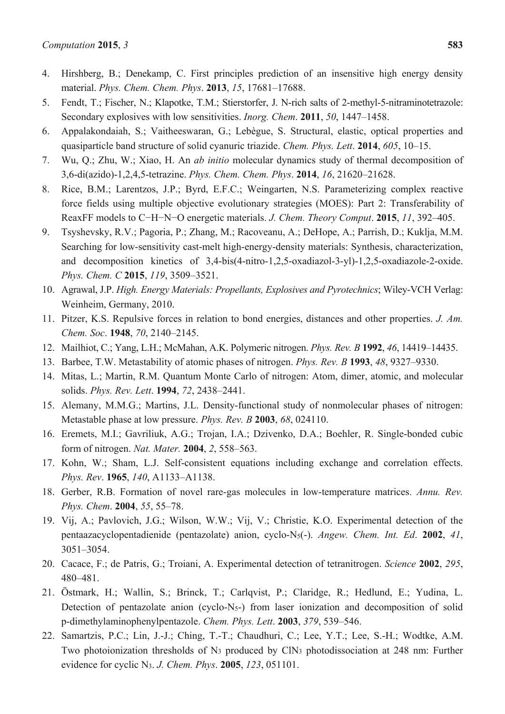- 4. Hirshberg, B.; Denekamp, C. First principles prediction of an insensitive high energy density material. *Phys. Chem. Chem. Phys*. **2013**, *15*, 17681–17688.
- 5. Fendt, T.; Fischer, N.; Klapotke, T.M.; Stierstorfer, J. N-rich salts of 2-methyl-5-nitraminotetrazole: Secondary explosives with low sensitivities. *Inorg. Chem*. **2011**, *50*, 1447–1458.
- 6. Appalakondaiah, S.; Vaitheeswaran, G.; Lebègue, S. Structural, elastic, optical properties and quasiparticle band structure of solid cyanuric triazide. *Chem. Phys. Lett*. **2014**, *605*, 10–15.
- 7. Wu, Q.; Zhu, W.; Xiao, H. An *ab initio* molecular dynamics study of thermal decomposition of 3,6-di(azido)-1,2,4,5-tetrazine. *Phys. Chem. Chem. Phys*. **2014**, *16*, 21620–21628.
- 8. Rice, B.M.; Larentzos, J.P.; Byrd, E.F.C.; Weingarten, N.S. Parameterizing complex reactive force fields using multiple objective evolutionary strategies (MOES): Part 2: Transferability of ReaxFF models to C−H−N−O energetic materials. *J. Chem. Theory Comput*. **2015**, *11*, 392–405.
- 9. Tsyshevsky, R.V.; Pagoria, P.; Zhang, M.; Racoveanu, A.; DeHope, A.; Parrish, D.; Kuklja, M.M. Searching for low-sensitivity cast-melt high-energy-density materials: Synthesis, characterization, and decomposition kinetics of 3,4-bis(4-nitro-1,2,5-oxadiazol-3-yl)-1,2,5-oxadiazole-2-oxide. *Phys. Chem. C* **2015**, *119*, 3509–3521.
- 10. Agrawal, J.P. *High. Energy Materials: Propellants, Explosives and Pyrotechnics*; Wiley-VCH Verlag: Weinheim, Germany, 2010.
- 11. Pitzer, K.S. Repulsive forces in relation to bond energies, distances and other properties. *J. Am. Chem. Soc*. **1948**, *70*, 2140–2145.
- 12. Mailhiot, C.; Yang, L.H.; McMahan, A.K. Polymeric nitrogen. *Phys. Rev. B* **1992**, *46*, 14419–14435.
- 13. Barbee, T.W. Metastability of atomic phases of nitrogen. *Phys. Rev. B* **1993**, *48*, 9327–9330.
- 14. Mitas, L.; Martin, R.M. Quantum Monte Carlo of nitrogen: Atom, dimer, atomic, and molecular solids. *Phys. Rev. Lett*. **1994**, *72*, 2438–2441.
- 15. Alemany, M.M.G.; Martins, J.L. Density-functional study of nonmolecular phases of nitrogen: Metastable phase at low pressure. *Phys. Rev. B* **2003**, *68*, 024110.
- 16. Eremets, M.I.; Gavriliuk, A.G.; Trojan, I.A.; Dzivenko, D.A.; Boehler, R. Single-bonded cubic form of nitrogen. *Nat. Mater.* **2004**, *2*, 558–563.
- 17. Kohn, W.; Sham, L.J. Self-consistent equations including exchange and correlation effects. *Phys. Rev*. **1965**, *140*, A1133–A1138.
- 18. Gerber, R.B. Formation of novel rare-gas molecules in low-temperature matrices. *Annu. Rev. Phys. Chem*. **2004**, *55*, 55–78.
- 19. Vij, A.; Pavlovich, J.G.; Wilson, W.W.; Vij, V.; Christie, K.O. Experimental detection of the pentaazacyclopentadienide (pentazolate) anion, cyclo-N5(-). *Angew. Chem. Int. Ed*. **2002**, *41*, 3051–3054.
- 20. Cacace, F.; de Patris, G.; Troiani, A. Experimental detection of tetranitrogen. *Science* **2002**, *295*, 480–481.
- 21. Östmark, H.; Wallin, S.; Brinck, T.; Carlqvist, P.; Claridge, R.; Hedlund, E.; Yudina, L. Detection of pentazolate anion (cyclo-N5-) from laser ionization and decomposition of solid p-dimethylaminophenylpentazole. *Chem. Phys. Lett*. **2003**, *379*, 539–546.
- 22. Samartzis, P.C.; Lin, J.-J.; Ching, T.-T.; Chaudhuri, C.; Lee, Y.T.; Lee, S.-H.; Wodtke, A.M. Two photoionization thresholds of N3 produced by ClN3 photodissociation at 248 nm: Further evidence for cyclic N3. *J. Chem. Phys*. **2005**, *123*, 051101.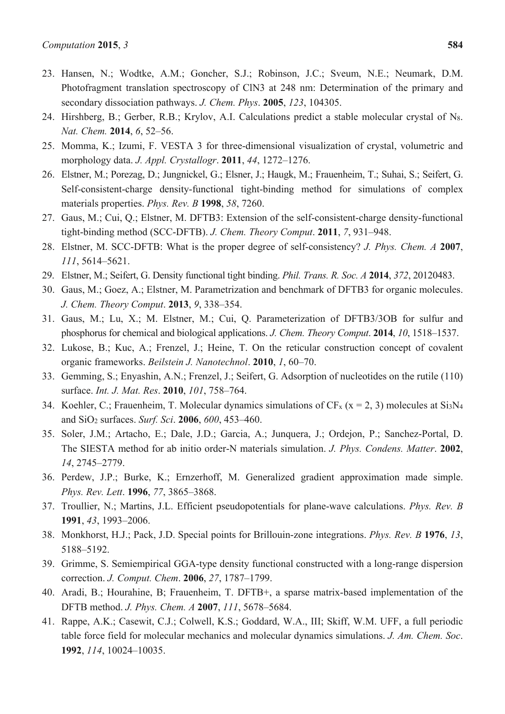- 23. Hansen, N.; Wodtke, A.M.; Goncher, S.J.; Robinson, J.C.; Sveum, N.E.; Neumark, D.M. Photofragment translation spectroscopy of ClN3 at 248 nm: Determination of the primary and secondary dissociation pathways. *J. Chem. Phys*. **2005**, *123*, 104305.
- 24. Hirshberg, B.; Gerber, R.B.; Krylov, A.I. Calculations predict a stable molecular crystal of N8. *Nat. Chem.* **2014**, *6*, 52–56.
- 25. Momma, K.; Izumi, F. VESTA 3 for three-dimensional visualization of crystal, volumetric and morphology data. *J. Appl. Crystallogr*. **2011**, *44*, 1272–1276.
- 26. Elstner, M.; Porezag, D.; Jungnickel, G.; Elsner, J.; Haugk, M.; Frauenheim, T.; Suhai, S.; Seifert, G. Self-consistent-charge density-functional tight-binding method for simulations of complex materials properties. *Phys. Rev. B* **1998**, *58*, 7260.
- 27. Gaus, M.; Cui, Q.; Elstner, M. DFTB3: Extension of the self-consistent-charge density-functional tight-binding method (SCC-DFTB). *J. Chem. Theory Comput*. **2011**, *7*, 931–948.
- 28. Elstner, M. SCC-DFTB: What is the proper degree of self-consistency? *J. Phys. Chem. A* **2007**, *111*, 5614–5621.
- 29. Elstner, M.; Seifert, G. Density functional tight binding. *Phil. Trans. R. Soc. A* **2014**, *372*, 20120483.
- 30. Gaus, M.; Goez, A.; Elstner, M. Parametrization and benchmark of DFTB3 for organic molecules. *J. Chem. Theory Comput*. **2013**, *9*, 338–354.
- 31. Gaus, M.; Lu, X.; M. Elstner, M.; Cui, Q. Parameterization of DFTB3/3OB for sulfur and phosphorus for chemical and biological applications. *J. Chem. Theory Comput*. **2014**, *10*, 1518–1537.
- 32. Lukose, B.; Kuc, A.; Frenzel, J.; Heine, T. On the reticular construction concept of covalent organic frameworks. *Beilstein J. Nanotechnol*. **2010**, *1*, 60–70.
- 33. Gemming, S.; Enyashin, A.N.; Frenzel, J.; Seifert, G. Adsorption of nucleotides on the rutile (110) surface. *Int. J. Mat. Res*. **2010**, *101*, 758–764.
- 34. Koehler, C.; Frauenheim, T. Molecular dynamics simulations of  $CF_x$  ( $x = 2, 3$ ) molecules at Si<sub>3</sub>N<sub>4</sub> and SiO2 surfaces. *Surf. Sci*. **2006**, *600*, 453–460.
- 35. Soler, J.M.; Artacho, E.; Dale, J.D.; Garcia, A.; Junquera, J.; Ordejon, P.; Sanchez-Portal, D. The SIESTA method for ab initio order-N materials simulation. *J. Phys. Condens. Matter*. **2002**, *14*, 2745–2779.
- 36. Perdew, J.P.; Burke, K.; Ernzerhoff, M. Generalized gradient approximation made simple. *Phys. Rev. Lett*. **1996**, *77*, 3865–3868.
- 37. Troullier, N.; Martins, J.L. Efficient pseudopotentials for plane-wave calculations. *Phys. Rev. B* **1991**, *43*, 1993–2006.
- 38. Monkhorst, H.J.; Pack, J.D. Special points for Brillouin-zone integrations. *Phys. Rev. B* **1976**, *13*, 5188–5192.
- 39. Grimme, S. Semiempirical GGA-type density functional constructed with a long-range dispersion correction. *J. Comput. Chem*. **2006**, *27*, 1787–1799.
- 40. Aradi, B.; Hourahine, B; Frauenheim, T. DFTB+, a sparse matrix-based implementation of the DFTB method. *J. Phys. Chem. A* **2007**, *111*, 5678–5684.
- 41. Rappe, A.K.; Casewit, C.J.; Colwell, K.S.; Goddard, W.A., III; Skiff, W.M. UFF, a full periodic table force field for molecular mechanics and molecular dynamics simulations. *J. Am. Chem. Soc*. **1992**, *114*, 10024–10035.